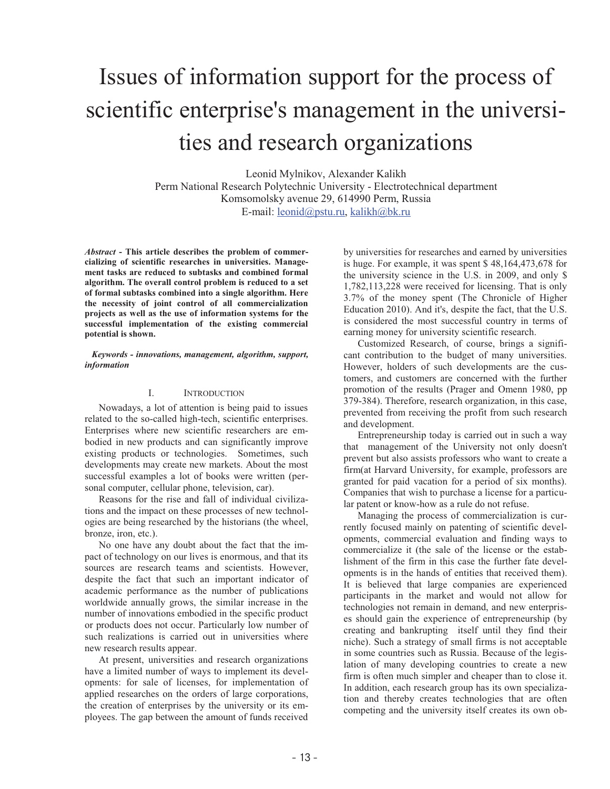# Issues of information support for the process of scientific enterprise's management in the universities and research organizations

Leonid Mylnikov, Alexander Kalikh Perm National Research Polytechnic University - Electrotechnical department Komsomolsky avenue 29, 614990 Perm, Russia E-mail: leonid@pstu.ru, kalikh@bk.ru

*Abstract* **- This article describes the problem of commercializing of scientific researches in universities. Management tasks are reduced to subtasks and combined formal algorithm. The overall control problem is reduced to a set of formal subtasks combined into a single algorithm. Here the necessity of joint control of all commercialization projects as well as the use of information systems for the successful implementation of the existing commercial potential is shown.** 

### *Keywords - innovations, management, algorithm, support, information*

## I. INTRODUCTION

Nowadays, a lot of attention is being paid to issues related to the so-called high-tech, scientific enterprises. Enterprises where new scientific researchers are embodied in new products and can significantly improve existing products or technologies. Sometimes, such developments may create new markets. About the most successful examples a lot of books were written (personal computer, cellular phone, television, car).

Reasons for the rise and fall of individual civilizations and the impact on these processes of new technologies are being researched by the historians (the wheel, bronze, iron, etc.).

No one have any doubt about the fact that the impact of technology on our lives is enormous, and that its sources are research teams and scientists. However, despite the fact that such an important indicator of academic performance as the number of publications worldwide annually grows, the similar increase in the number of innovations embodied in the specific product or products does not occur. Particularly low number of such realizations is carried out in universities where new research results appear.

At present, universities and research organizations have a limited number of ways to implement its developments: for sale of licenses, for implementation of applied researches on the orders of large corporations, the creation of enterprises by the university or its employees. The gap between the amount of funds received

by universities for researches and earned by universities is huge. For example, it was spent \$ 48,164,473,678 for the university science in the U.S. in 2009, and only \$ 1,782,113,228 were received for licensing. That is only 3.7% of the money spent (The Chronicle of Higher Education 2010). And it's, despite the fact, that the U.S. is considered the most successful country in terms of earning money for university scientific research.

Customized Research, of course, brings a significant contribution to the budget of many universities. However, holders of such developments are the customers, and customers are concerned with the further promotion of the results (Prager and Omenn 1980, pp 379-384). Therefore, research organization, in this case, prevented from receiving the profit from such research and development.

Entrepreneurship today is carried out in such a way that management of the University not only doesn't prevent but also assists professors who want to create a firm(at Harvard University, for example, professors are granted for paid vacation for a period of six months). Companies that wish to purchase a license for a particular patent or know-how as a rule do not refuse.

Managing the process of commercialization is currently focused mainly on patenting of scientific developments, commercial evaluation and finding ways to commercialize it (the sale of the license or the establishment of the firm in this case the further fate developments is in the hands of entities that received them). It is believed that large companies are experienced participants in the market and would not allow for technologies not remain in demand, and new enterprises should gain the experience of entrepreneurship (by creating and bankrupting itself until they find their niche). Such a strategy of small firms is not acceptable in some countries such as Russia. Because of the legislation of many developing countries to create a new firm is often much simpler and cheaper than to close it. In addition, each research group has its own specialization and thereby creates technologies that are often competing and the university itself creates its own ob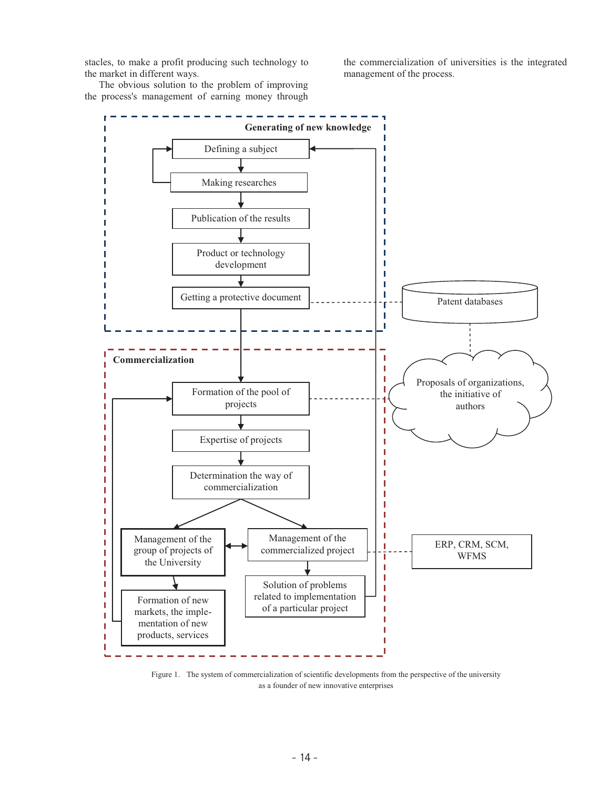stacles, to make a profit producing such technology to the market in different ways.

the commercialization of universities is the integrated management of the process.

The obvious solution to the problem of improving the process's management of earning money through



Figure 1. The system of commercialization of scientific developments from the perspective of the university as a founder of new innovative enterprises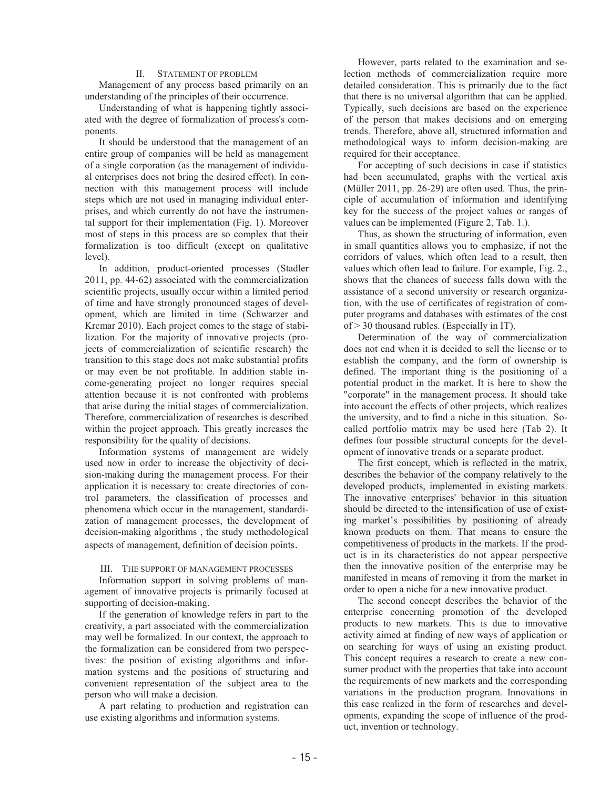### II. STATEMENT OF PROBLEM

Management of any process based primarily on an understanding of the principles of their occurrence.

Understanding of what is happening tightly associated with the degree of formalization of process's components.

It should be understood that the management of an entire group of companies will be held as management of a single corporation (as the management of individual enterprises does not bring the desired effect). In connection with this management process will include steps which are not used in managing individual enterprises, and which currently do not have the instrumental support for their implementation (Fig. 1). Moreover most of steps in this process are so complex that their formalization is too difficult (except on qualitative level).

In addition, product-oriented processes (Stadler 2011, pp. 44-62) associated with the commercialization scientific projects, usually occur within a limited period of time and have strongly pronounced stages of development, which are limited in time (Schwarzer and Krcmar 2010). Each project comes to the stage of stabilization. For the majority of innovative projects (projects of commercialization of scientific research) the transition to this stage does not make substantial profits or may even be not profitable. In addition stable income-generating project no longer requires special attention because it is not confronted with problems that arise during the initial stages of commercialization. Therefore, commercialization of researches is described within the project approach. This greatly increases the responsibility for the quality of decisions.

Information systems of management are widely used now in order to increase the objectivity of decision-making during the management process. For their application it is necessary to: create directories of control parameters, the classification of processes and phenomena which occur in the management, standardization of management processes, the development of decision-making algorithms , the study methodological aspects of management, definition of decision points.

#### III. THE SUPPORT OF MANAGEMENT PROCESSES

Information support in solving problems of management of innovative projects is primarily focused at supporting of decision-making.

If the generation of knowledge refers in part to the creativity, a part associated with the commercialization may well be formalized. In our context, the approach to the formalization can be considered from two perspectives: the position of existing algorithms and information systems and the positions of structuring and convenient representation of the subject area to the person who will make a decision.

A part relating to production and registration can use existing algorithms and information systems.

However, parts related to the examination and selection methods of commercialization require more detailed consideration. This is primarily due to the fact that there is no universal algorithm that can be applied. Typically, such decisions are based on the experience of the person that makes decisions and on emerging trends. Therefore, above all, structured information and methodological ways to inform decision-making are required for their acceptance.

For accepting of such decisions in case if statistics had been accumulated, graphs with the vertical axis (Müller 2011, pp. 26-29) are often used. Thus, the principle of accumulation of information and identifying key for the success of the project values or ranges of values can be implemented (Figure 2, Tab. 1.).

Thus, as shown the structuring of information, even in small quantities allows you to emphasize, if not the corridors of values, which often lead to a result, then values which often lead to failure. For example, Fig. 2., shows that the chances of success falls down with the assistance of a second university or research organization, with the use of certificates of registration of computer programs and databases with estimates of the cost of > 30 thousand rubles. (Especially in IT).

Determination of the way of commercialization does not end when it is decided to sell the license or to establish the company, and the form of ownership is defined. The important thing is the positioning of a potential product in the market. It is here to show the "corporate" in the management process. It should take into account the effects of other projects, which realizes the university, and to find a niche in this situation. Socalled portfolio matrix may be used here (Tab 2). It defines four possible structural concepts for the development of innovative trends or a separate product.

The first concept, which is reflected in the matrix, describes the behavior of the company relatively to the developed products, implemented in existing markets. The innovative enterprises' behavior in this situation should be directed to the intensification of use of exist ing market's possibilities by positioning of already known products on them. That means to ensure the competitiveness of products in the markets. If the product is in its characteristics do not appear perspective then the innovative position of the enterprise may be manifested in means of removing it from the market in order to open a niche for a new innovative product.

The second concept describes the behavior of the enterprise concerning promotion of the developed products to new markets. This is due to innovative activity aimed at finding of new ways of application or on searching for ways of using an existing product. This concept requires a research to create a new consumer product with the properties that take into account the requirements of new markets and the corresponding variations in the production program. Innovations in this case realized in the form of researches and developments, expanding the scope of influence of the product, invention or technology.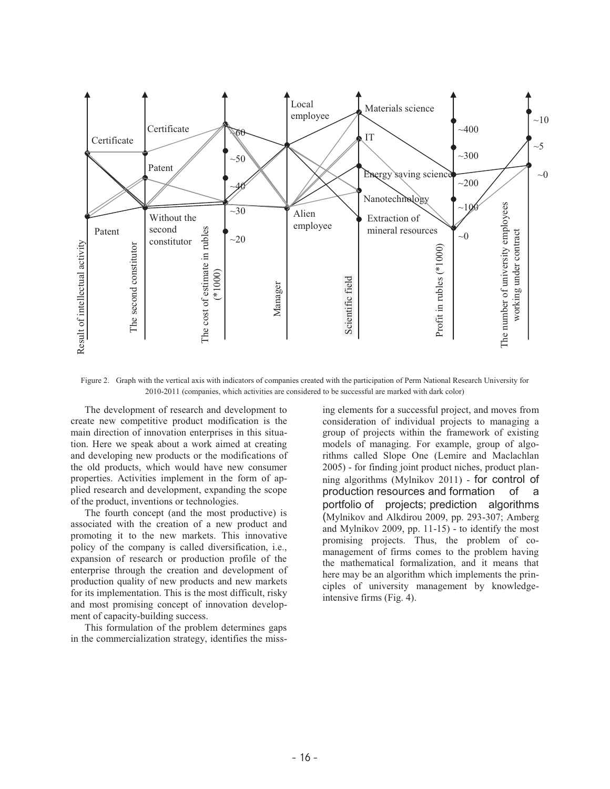

Figure 2. Graph with the vertical axis with indicators of companies created with the participation of Perm National Research University for 2010-2011 (companies, which activities are considered to be successful are marked with dark color)

The development of research and development to create new competitive product modification is the main direction of innovation enterprises in this situation. Here we speak about a work aimed at creating and developing new products or the modifications of the old products, which would have new consumer properties. Activities implement in the form of applied research and development, expanding the scope of the product, inventions or technologies.

The fourth concept (and the most productive) is associated with the creation of a new product and promoting it to the new markets. This innovative policy of the company is called diversification, i.e., expansion of research or production profile of the enterprise through the creation and development of production quality of new products and new markets for its implementation. This is the most difficult, risky and most promising concept of innovation development of capacity-building success.

This formulation of the problem determines gaps in the commercialization strategy, identifies the miss-

ing elements for a successful project, and moves from consideration of individual projects to managing a group of projects within the framework of existing models of managing. For example, group of algorithms called Slope One (Lemire and Maclachlan 2005) - for finding joint product niches, product planning algorithms (Mylnikov 2011) - for control of production resources and formation of a portfolio of projects; prediction algorithms (Mylnikov and Alkdirou 2009, pp. 293-307; Amberg and Mylnikov 2009, pp. 11-15) - to identify the most promising projects. Thus, the problem of comanagement of firms comes to the problem having the mathematical formalization, and it means that here may be an algorithm which implements the principles of university management by knowledgeintensive firms (Fig. 4).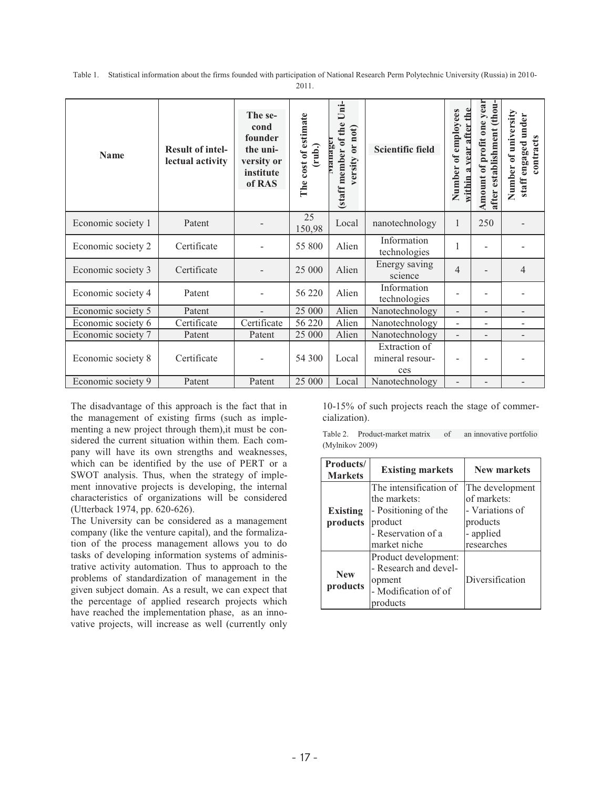Table 1. Statistical information about the firms founded with participation of National Research Perm Polytechnic University (Russia) in 2010- 2011.

| <b>Name</b>        | <b>Result of intel-</b><br>lectual activity | The se-<br>cond<br>founder<br>the uni-<br>versity or<br>institute<br>of RAS | cost of estimate<br>(rub.)<br>The | Uni-<br>(staff member of the<br>versity or not)<br>rianiagu | <b>Scientific field</b>                 | after the<br>employees<br>vear<br>$\mathbf{f}$<br>Number<br>within | Amount of profit one year<br>establishment (thou-<br>after | Number of university<br>staff engaged under<br>contracts |
|--------------------|---------------------------------------------|-----------------------------------------------------------------------------|-----------------------------------|-------------------------------------------------------------|-----------------------------------------|--------------------------------------------------------------------|------------------------------------------------------------|----------------------------------------------------------|
| Economic society 1 | Patent                                      |                                                                             | 25<br>150,98                      | Local                                                       | nanotechnology                          | 1                                                                  | 250                                                        |                                                          |
| Economic society 2 | Certificate                                 |                                                                             | 55 800                            | Alien                                                       | Information<br>technologies             |                                                                    |                                                            |                                                          |
| Economic society 3 | Certificate                                 |                                                                             | 25 000                            | Alien                                                       | Energy saving<br>science                | 4                                                                  |                                                            | 4                                                        |
| Economic society 4 | Patent                                      |                                                                             | 56 220                            | Alien                                                       | Information<br>technologies             |                                                                    |                                                            |                                                          |
| Economic society 5 | Patent                                      | $\blacksquare$                                                              | 25 000                            | Alien                                                       | Nanotechnology                          | $\overline{\phantom{a}}$                                           | $\overline{\phantom{a}}$                                   | -                                                        |
| Economic society 6 | Certificate                                 | Certificate                                                                 | 56 220                            | Alien                                                       | Nanotechnology                          | $\blacksquare$                                                     | $\overline{a}$                                             | $\overline{\phantom{0}}$                                 |
| Economic society 7 | Patent                                      | Patent                                                                      | 25 000                            | Alien                                                       | Nanotechnology                          | $\overline{\phantom{a}}$                                           |                                                            |                                                          |
| Economic society 8 | Certificate                                 |                                                                             | 54 300                            | Local                                                       | Extraction of<br>mineral resour-<br>ces |                                                                    |                                                            |                                                          |
| Economic society 9 | Patent                                      | Patent                                                                      | 25 000                            | Local                                                       | Nanotechnology                          |                                                                    |                                                            |                                                          |

The disadvantage of this approach is the fact that in the management of existing firms (such as implementing a new project through them),it must be considered the current situation within them. Each company will have its own strengths and weaknesses, which can be identified by the use of PERT or a SWOT analysis. Thus, when the strategy of implement innovative projects is developing, the internal characteristics of organizations will be considered (Utterback 1974, pp. 620-626).

The University can be considered as a management company (like the venture capital), and the formalization of the process management allows you to do tasks of developing information systems of administrative activity automation. Thus to approach to the problems of standardization of management in the given subject domain. As a result, we can expect that the percentage of applied research projects which have reached the implementation phase, as an innovative projects, will increase as well (currently only

10-15% of such projects reach the stage of commercialization).

Table 2. Product-market matrix of an innovative portfolio (Mylnikov 2009)

| Products/<br><b>Markets</b> | <b>Existing markets</b>                                                                                         | <b>New markets</b>                                                                       |
|-----------------------------|-----------------------------------------------------------------------------------------------------------------|------------------------------------------------------------------------------------------|
| <b>Existing</b><br>products | The intensification of<br>the markets:<br>- Positioning of the<br>product<br>- Reservation of a<br>market niche | The development<br>of markets:<br>- Variations of<br>products<br>- applied<br>researches |
| <b>New</b><br>products      | Product development:<br>- Research and devel-<br>opment<br>- Modification of of<br>products                     | Diversification                                                                          |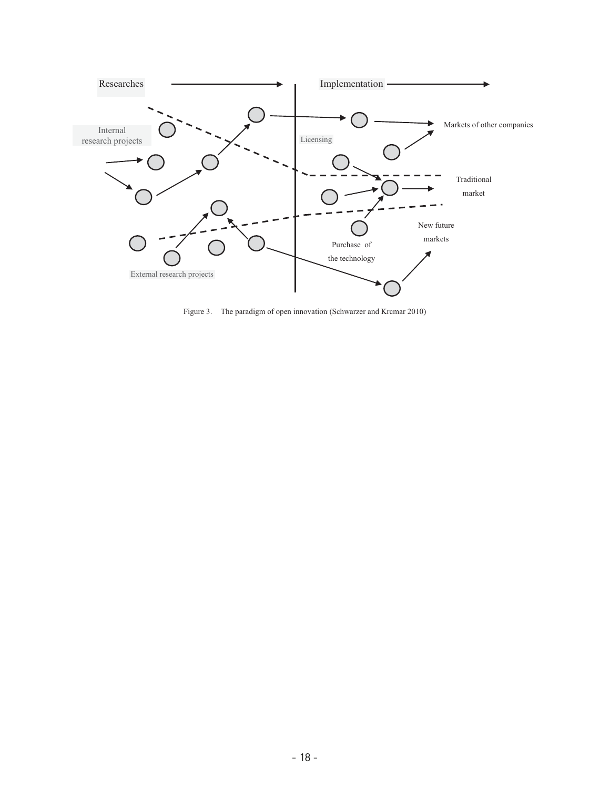

Figure 3. The paradigm of open innovation (Schwarzer and Krcmar 2010)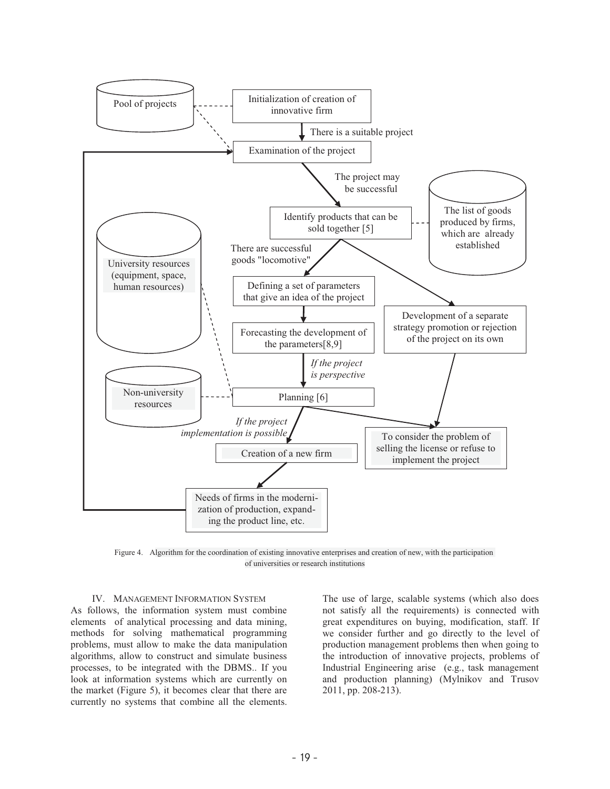

Figure 4. Algorithm for the coordination of existing innovative enterprises and creation of new, with the participation of universities or research institutions

IV. MANAGEMENT INFORMATION SYSTEM

As follows, the information system must combine elements of analytical processing and data mining, methods for solving mathematical programming problems, must allow to make the data manipulation algorithms, allow to construct and simulate business processes, to be integrated with the DBMS.. If you look at information systems which are currently on the market (Figure 5), it becomes clear that there are currently no systems that combine all the elements.

The use of large, scalable systems (which also does not satisfy all the requirements) is connected with great expenditures on buying, modification, staff. If we consider further and go directly to the level of production management problems then when going to the introduction of innovative projects, problems of Industrial Engineering arise (e.g., task management and production planning) (Mylnikov and Trusov 2011, pp. 208-213).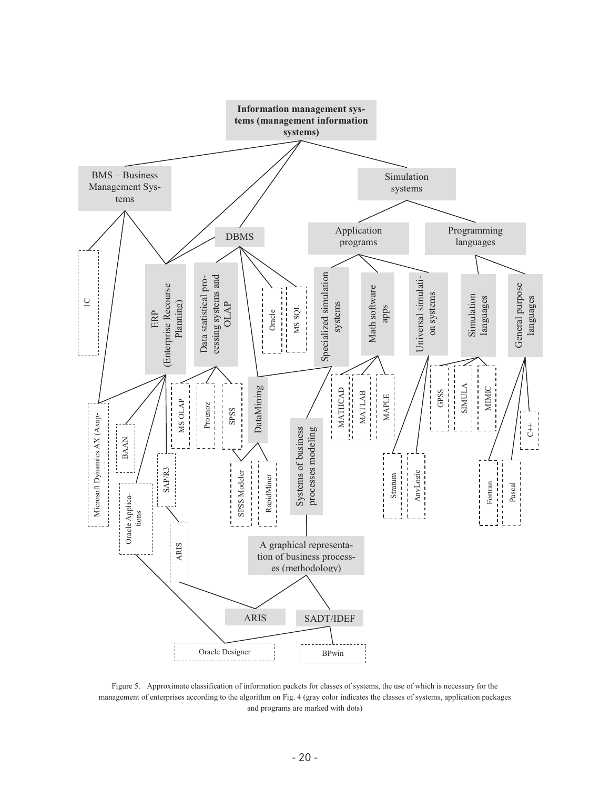

Figure 5. Approximate classification of information packets for classes of systems, the use of which is necessary for the management of enterprises according to the algorithm on Fig. 4 (gray color indicates the classes of systems, application packages and programs are marked with dots)